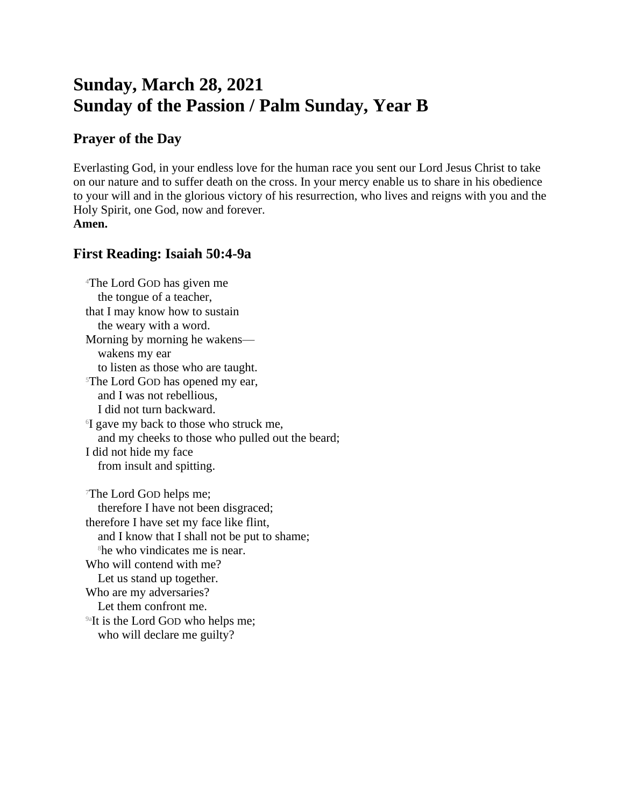# **Sunday, March 28, 2021 Sunday of the Passion / Palm Sunday, Year B**

## **Prayer of the Day**

Everlasting God, in your endless love for the human race you sent our Lord Jesus Christ to take on our nature and to suffer death on the cross. In your mercy enable us to share in his obedience to your will and in the glorious victory of his resurrection, who lives and reigns with you and the Holy Spirit, one God, now and forever. **Amen.**

## **First Reading: Isaiah 50:4-9a**

<sup>4</sup>The Lord GOD has given me the tongue of a teacher, that I may know how to sustain the weary with a word. Morning by morning he wakens wakens my ear to listen as those who are taught. <sup>5</sup>The Lord GOD has opened my ear, and I was not rebellious, I did not turn backward. 6 I gave my back to those who struck me, and my cheeks to those who pulled out the beard; I did not hide my face from insult and spitting. <sup>7</sup>The Lord GOD helps me; therefore I have not been disgraced; therefore I have set my face like flint, and I know that I shall not be put to shame; <sup>8</sup>he who vindicates me is near. Who will contend with me? Let us stand up together. Who are my adversaries? Let them confront me. <sup>9a</sup>It is the Lord GOD who helps me; who will declare me guilty?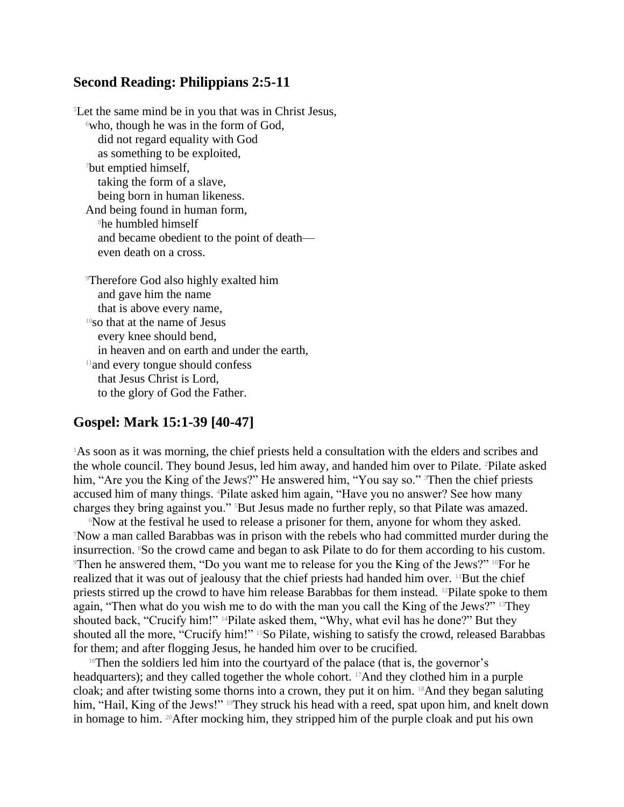### **Second Reading: Philippians 2:5-11**

<sup>5</sup>Let the same mind be in you that was in Christ Jesus,  $6$ who, though he was in the form of God, did not regard equality with God as something to be exploited, <sup>7</sup>but emptied himself, taking the form of a slave, being born in human likeness. And being found in human form, <sup>8</sup>he humbled himself and became obedient to the point of death even death on a cross. <sup>9</sup>Therefore God also highly exalted him

and gave him the name that is above every name, <sup>10</sup>so that at the name of Jesus every knee should bend, in heaven and on earth and under the earth, <sup>11</sup>and every tongue should confess that Jesus Christ is Lord, to the glory of God the Father.

## **Gospel: Mark 15:1-39 [40-47]**

<sup>1</sup>As soon as it was morning, the chief priests held a consultation with the elders and scribes and the whole council. They bound Jesus, led him away, and handed him over to Pilate. 2Pilate asked him, "Are you the King of the Jews?" He answered him, "You say so." <sup>3</sup>Then the chief priests accused him of many things. 4Pilate asked him again, "Have you no answer? See how many charges they bring against you." 5But Jesus made no further reply, so that Pilate was amazed.

<sup>6</sup>Now at the festival he used to release a prisoner for them, anyone for whom they asked. <sup>7</sup>Now a man called Barabbas was in prison with the rebels who had committed murder during the insurrection. 8So the crowd came and began to ask Pilate to do for them according to his custom. <sup>9</sup>Then he answered them, "Do you want me to release for you the King of the Jews?" 10For he realized that it was out of jealousy that the chief priests had handed him over. <sup>11</sup>But the chief priests stirred up the crowd to have him release Barabbas for them instead. 12Pilate spoke to them again, "Then what do you wish me to do with the man you call the King of the Jews?" 13They shouted back, "Crucify him!" 14Pilate asked them, "Why, what evil has he done?" But they shouted all the more, "Crucify him!" <sup>15</sup>So Pilate, wishing to satisfy the crowd, released Barabbas for them; and after flogging Jesus, he handed him over to be crucified.

 $16$ Then the soldiers led him into the courtyard of the palace (that is, the governor's headquarters); and they called together the whole cohort. <sup>17</sup>And they clothed him in a purple cloak; and after twisting some thorns into a crown, they put it on him. 18And they began saluting him, "Hail, King of the Jews!" <sup>19</sup>They struck his head with a reed, spat upon him, and knelt down in homage to him. 20After mocking him, they stripped him of the purple cloak and put his own